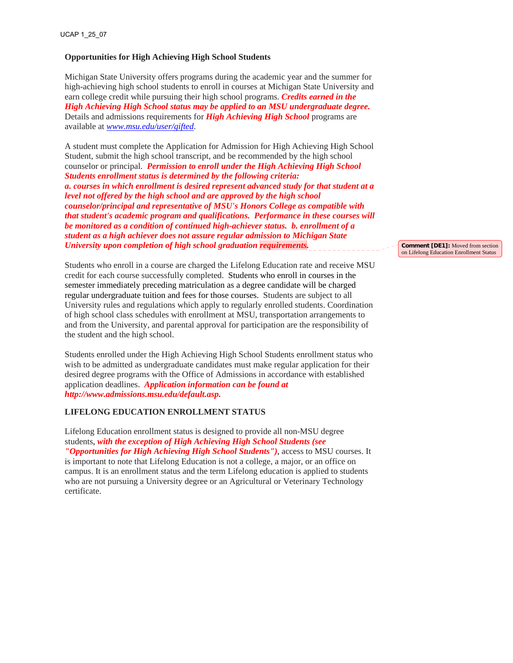## **Opportunities for High Achieving High School Students**

Michigan State University offers programs during the academic year and the summer for high-achieving high school students to enroll in courses at Michigan State University and earn college credit while pursuing their high school programs. *Credits earned in the High Achieving High School status may be applied to an MSU undergraduate degree.*  Details and admissions requirements for *High Achieving High School* programs are available at *[www.msu.edu/user/gifted](http://www.msu.edu/user/gifted)*.

A student must complete the Application for Admission for High Achieving High School Student, submit the high school transcript, and be recommended by the high school counselor or principal. *Permission to enroll under the High Achieving High School Students enrollment status is determined by the following criteria: a. courses in which enrollment is desired represent advanced study for that student at a level not offered by the high school and are approved by the high school counselor/principal and representative of MSU's Honors College as compatible with that student's academic program and qualifications. Performance in these courses will be monitored as a condition of continued high-achiever status. b. enrollment of a student as a high achiever does not assure regular admission to Michigan State University upon completion of high school graduation requirements.* 

Students who enroll in a course are charged the Lifelong Education rate and receive MSU credit for each course successfully completed. Students who enroll in courses in the semester immediately preceding matriculation as a degree candidate will be charged regular undergraduate tuition and fees for those courses. Students are subject to all University rules and regulations which apply to regularly enrolled students. Coordination of high school class schedules with enrollment at MSU, transportation arrangements to and from the University, and parental approval for participation are the responsibility of the student and the high school.

Students enrolled under the High Achieving High School Students enrollment status who wish to be admitted as undergraduate candidates must make regular application for their desired degree programs with the Office of Admissions in accordance with established application deadlines. *Application information can be found at http://www.admissions.msu.edu/default.asp.* 

## **LIFELONG EDUCATION ENROLLMENT STATUS**

Lifelong Education enrollment status is designed to provide all non-MSU degree students, *with the exception of High Achieving High School Students (see "Opportunities for High Achieving High School Students")*, access to MSU courses. It is important to note that Lifelong Education is not a college, a major, or an office on campus. It is an enrollment status and the term Lifelong education is applied to students who are not pursuing a University degree or an Agricultural or Veterinary Technology certificate.

**Comment [DE1]:** Moved from section on Lifelong Education Enrollment Status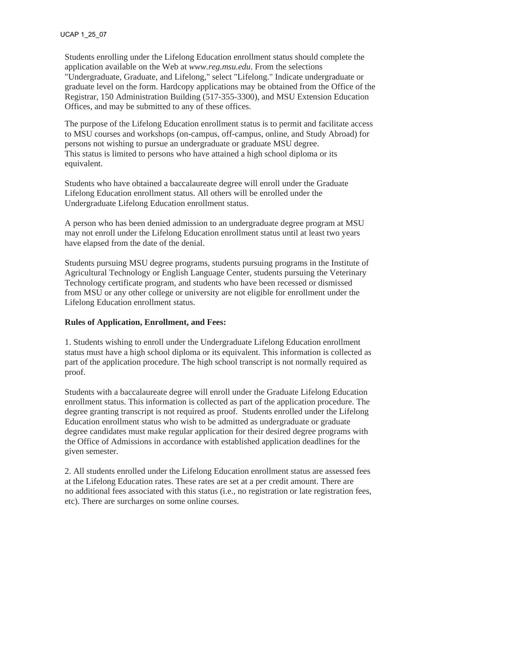Students enrolling under the Lifelong Education enrollment status should complete the application available on the Web at *www.reg.msu.edu*. From the selections "Undergraduate, Graduate, and Lifelong," select "Lifelong." Indicate undergraduate or graduate level on the form. Hardcopy applications may be obtained from the Office of the Registrar, 150 Administration Building (517-355-3300), and MSU Extension Education Offices, and may be submitted to any of these offices.

The purpose of the Lifelong Education enrollment status is to permit and facilitate access to MSU courses and workshops (on-campus, off-campus, online, and Study Abroad) for persons not wishing to pursue an undergraduate or graduate MSU degree. This status is limited to persons who have attained a high school diploma or its equivalent.

Students who have obtained a baccalaureate degree will enroll under the Graduate Lifelong Education enrollment status. All others will be enrolled under the Undergraduate Lifelong Education enrollment status.

A person who has been denied admission to an undergraduate degree program at MSU may not enroll under the Lifelong Education enrollment status until at least two years have elapsed from the date of the denial.

Students pursuing MSU degree programs, students pursuing programs in the Institute of Agricultural Technology or English Language Center, students pursuing the Veterinary Technology certificate program, and students who have been recessed or dismissed from MSU or any other college or university are not eligible for enrollment under the Lifelong Education enrollment status.

## **Rules of Application, Enrollment, and Fees:**

1. Students wishing to enroll under the Undergraduate Lifelong Education enrollment status must have a high school diploma or its equivalent. This information is collected as part of the application procedure. The high school transcript is not normally required as proof.

Students with a baccalaureate degree will enroll under the Graduate Lifelong Education enrollment status. This information is collected as part of the application procedure. The degree granting transcript is not required as proof. Students enrolled under the Lifelong Education enrollment status who wish to be admitted as undergraduate or graduate degree candidates must make regular application for their desired degree programs with the Office of Admissions in accordance with established application deadlines for the given semester.

2. All students enrolled under the Lifelong Education enrollment status are assessed fees at the Lifelong Education rates. These rates are set at a per credit amount. There are no additional fees associated with this status (i.e., no registration or late registration fees, etc). There are surcharges on some online courses.